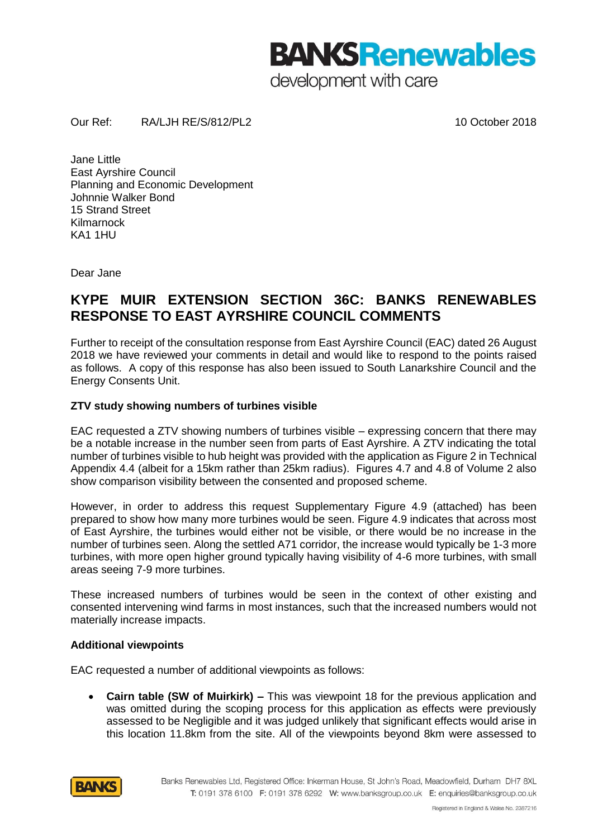**BANKS Renewables** development with care

Our Ref: RA/LJH RE/S/812/PL2 10 October 2018

Jane Little East Ayrshire Council Planning and Economic Development Johnnie Walker Bond 15 Strand Street Kilmarnock KA1 1HU

Dear Jane

# **KYPE MUIR EXTENSION SECTION 36C: BANKS RENEWABLES RESPONSE TO EAST AYRSHIRE COUNCIL COMMENTS**

Further to receipt of the consultation response from East Ayrshire Council (EAC) dated 26 August 2018 we have reviewed your comments in detail and would like to respond to the points raised as follows. A copy of this response has also been issued to South Lanarkshire Council and the Energy Consents Unit.

## **ZTV study showing numbers of turbines visible**

EAC requested a ZTV showing numbers of turbines visible – expressing concern that there may be a notable increase in the number seen from parts of East Ayrshire. A ZTV indicating the total number of turbines visible to hub height was provided with the application as Figure 2 in Technical Appendix 4.4 (albeit for a 15km rather than 25km radius). Figures 4.7 and 4.8 of Volume 2 also show comparison visibility between the consented and proposed scheme.

However, in order to address this request Supplementary Figure 4.9 (attached) has been prepared to show how many more turbines would be seen. Figure 4.9 indicates that across most of East Ayrshire, the turbines would either not be visible, or there would be no increase in the number of turbines seen. Along the settled A71 corridor, the increase would typically be 1-3 more turbines, with more open higher ground typically having visibility of 4-6 more turbines, with small areas seeing 7-9 more turbines.

These increased numbers of turbines would be seen in the context of other existing and consented intervening wind farms in most instances, such that the increased numbers would not materially increase impacts.

## **Additional viewpoints**

EAC requested a number of additional viewpoints as follows:

• **Cairn table (SW of Muirkirk) –** This was viewpoint 18 for the previous application and was omitted during the scoping process for this application as effects were previously assessed to be Negligible and it was judged unlikely that significant effects would arise in this location 11.8km from the site. All of the viewpoints beyond 8km were assessed to

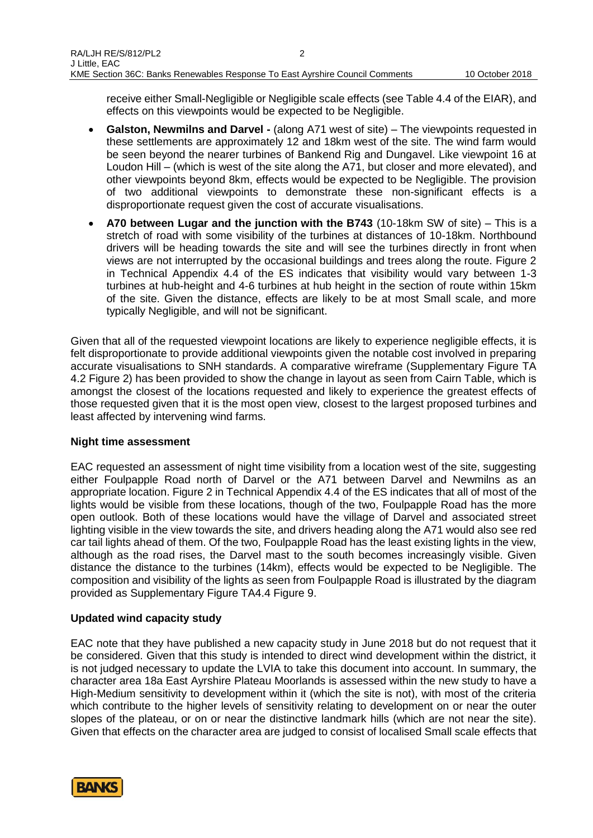receive either Small-Negligible or Negligible scale effects (see Table 4.4 of the EIAR), and effects on this viewpoints would be expected to be Negligible.

- **Galston, Newmilns and Darvel -** (along A71 west of site) The viewpoints requested in these settlements are approximately 12 and 18km west of the site. The wind farm would be seen beyond the nearer turbines of Bankend Rig and Dungavel. Like viewpoint 16 at Loudon Hill – (which is west of the site along the A71, but closer and more elevated), and other viewpoints beyond 8km, effects would be expected to be Negligible. The provision of two additional viewpoints to demonstrate these non-significant effects is a disproportionate request given the cost of accurate visualisations.
- **A70 between Lugar and the junction with the B743** (10-18km SW of site) This is a stretch of road with some visibility of the turbines at distances of 10-18km. Northbound drivers will be heading towards the site and will see the turbines directly in front when views are not interrupted by the occasional buildings and trees along the route. Figure 2 in Technical Appendix 4.4 of the ES indicates that visibility would vary between 1-3 turbines at hub-height and 4-6 turbines at hub height in the section of route within 15km of the site. Given the distance, effects are likely to be at most Small scale, and more typically Negligible, and will not be significant.

Given that all of the requested viewpoint locations are likely to experience negligible effects, it is felt disproportionate to provide additional viewpoints given the notable cost involved in preparing accurate visualisations to SNH standards. A comparative wireframe (Supplementary Figure TA 4.2 Figure 2) has been provided to show the change in layout as seen from Cairn Table, which is amongst the closest of the locations requested and likely to experience the greatest effects of those requested given that it is the most open view, closest to the largest proposed turbines and least affected by intervening wind farms.

#### **Night time assessment**

EAC requested an assessment of night time visibility from a location west of the site, suggesting either Foulpapple Road north of Darvel or the A71 between Darvel and Newmilns as an appropriate location. Figure 2 in Technical Appendix 4.4 of the ES indicates that all of most of the lights would be visible from these locations, though of the two, Foulpapple Road has the more open outlook. Both of these locations would have the village of Darvel and associated street lighting visible in the view towards the site, and drivers heading along the A71 would also see red car tail lights ahead of them. Of the two, Foulpapple Road has the least existing lights in the view, although as the road rises, the Darvel mast to the south becomes increasingly visible. Given distance the distance to the turbines (14km), effects would be expected to be Negligible. The composition and visibility of the lights as seen from Foulpapple Road is illustrated by the diagram provided as Supplementary Figure TA4.4 Figure 9.

#### **Updated wind capacity study**

EAC note that they have published a new capacity study in June 2018 but do not request that it be considered. Given that this study is intended to direct wind development within the district, it is not judged necessary to update the LVIA to take this document into account. In summary, the character area 18a East Ayrshire Plateau Moorlands is assessed within the new study to have a High-Medium sensitivity to development within it (which the site is not), with most of the criteria which contribute to the higher levels of sensitivity relating to development on or near the outer slopes of the plateau, or on or near the distinctive landmark hills (which are not near the site). Given that effects on the character area are judged to consist of localised Small scale effects that